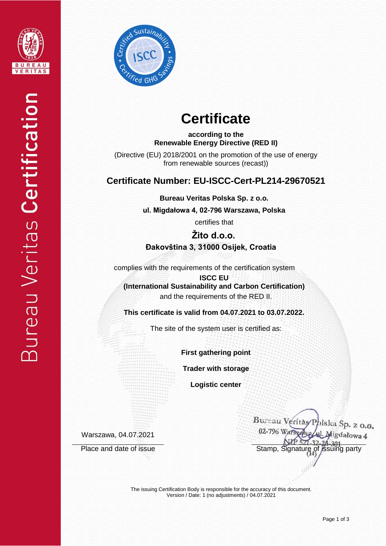



# **Certificate**

**according to the Renewable Energy Directive (RED II)**

(Directive (EU) 2018/2001 on the promotion of the use of energy from renewable sources (recast))

## **Certificate Number: EU-ISCC-Cert-PL214-29670521**

**Bureau Veritas Polska Sp. z o.o.**

**ul. Migdałowa 4, 02-796 Warszawa, Polska** 

certifies that

 **Žito d.o.o. Đakovština 3, 31000 Osijek, Croatia**

complies with the requirements of the certification system

**ISCC EU (International Sustainability and Carbon Certification)** and the requirements of the RED II.

**This certificate is valid from 04.07.2021 to 03.07.2022.**

The site of the system user is certified as:

**First gathering point**

**Trader with storage**

**Logistic center**

Warszawa, 04.07.2021

Bureau Veritas Polska Sp. z o.o. 02-796 Wars Migdałowa 4  $-301$ Place and date of issue Stamp, Signature of issuing party

The issuing Certification Body is responsible for the accuracy of this document. Version / Date: 1 (no adjustments) / 04.07.2021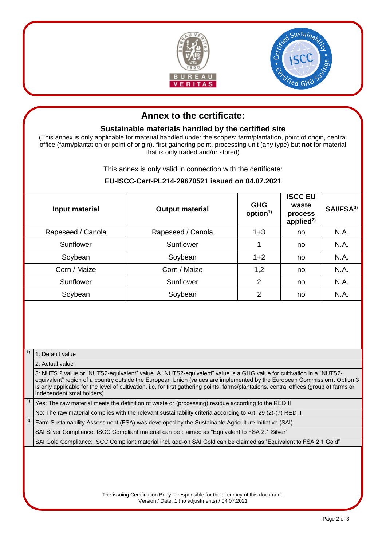



## **Annex to the certificate:**

#### **Sustainable materials handled by the certified site**

(This annex is only applicable for material handled under the scopes: farm/plantation, point of origin, central office (farm/plantation or point of origin), first gathering point, processing unit (any type) but **not** for material that is only traded and/or stored)

This annex is only valid in connection with the certificate:

#### **EU-ISCC-Cert-PL214-29670521 issued on 04.07.2021**

| Input material    | <b>Output material</b> | <b>GHG</b><br>option <sup>1)</sup> | <b>ISCC EU</b><br>waste<br>process<br>applied <sup>2)</sup> | SAI/FSA <sup>3)</sup> |
|-------------------|------------------------|------------------------------------|-------------------------------------------------------------|-----------------------|
| Rapeseed / Canola | Rapeseed / Canola      | $1 + 3$                            | no.                                                         | N.A.                  |
| Sunflower         | Sunflower              | 1                                  | no                                                          | N.A.                  |
| Soybean           | Soybean                | $1 + 2$                            | no.                                                         | N.A.                  |
| Corn / Maize      | Corn / Maize           | 1,2                                | no                                                          | N.A.                  |
| Sunflower         | Sunflower              | $\overline{2}$                     | no.                                                         | N.A.                  |
| Soybean           | Soybean                | 2                                  | no                                                          | N.A.                  |

#### 1) 1: Default value

2: Actual value

3: NUTS 2 value or "NUTS2-equivalent" value. A "NUTS2-equivalent" value is a GHG value for cultivation in a "NUTS2 equivalent" region of a country outside the European Union (values are implemented by the European Commission)**.** Option 3 is only applicable for the level of cultivation, i.e. for first gathering points, farms/plantations, central offices (group of farms or independent smallholders)

<sup>2)</sup> Yes: The raw material meets the definition of waste or (processing) residue according to the RED II

No: The raw material complies with the relevant sustainability criteria according to Art. 29 (2)-(7) RED II

 $3)$  Farm Sustainability Assessment (FSA) was developed by the Sustainable Agriculture Initiative (SAI)

SAI Silver Compliance: ISCC Compliant material can be claimed as "Equivalent to FSA 2.1 Silver"

SAI Gold Compliance: ISCC Compliant material incl. add-on SAI Gold can be claimed as "Equivalent to FSA 2.1 Gold"

The issuing Certification Body is responsible for the accuracy of this document. Version / Date: 1 (no adjustments) / 04.07.2021